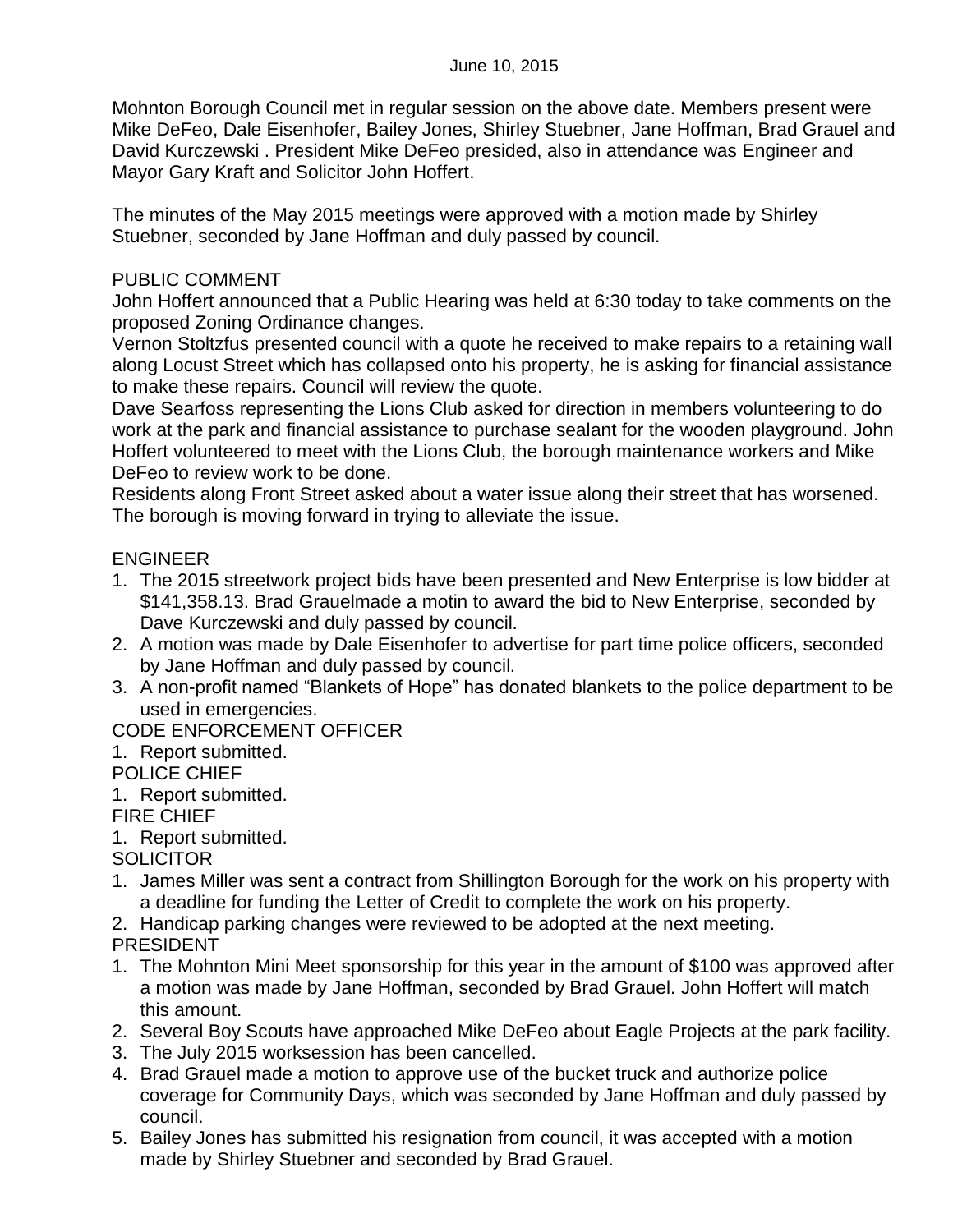Mohnton Borough Council met in regular session on the above date. Members present were Mike DeFeo, Dale Eisenhofer, Bailey Jones, Shirley Stuebner, Jane Hoffman, Brad Grauel and David Kurczewski . President Mike DeFeo presided, also in attendance was Engineer and Mayor Gary Kraft and Solicitor John Hoffert.

The minutes of the May 2015 meetings were approved with a motion made by Shirley Stuebner, seconded by Jane Hoffman and duly passed by council.

#### PUBLIC COMMENT

John Hoffert announced that a Public Hearing was held at 6:30 today to take comments on the proposed Zoning Ordinance changes.

Vernon Stoltzfus presented council with a quote he received to make repairs to a retaining wall along Locust Street which has collapsed onto his property, he is asking for financial assistance to make these repairs. Council will review the quote.

Dave Searfoss representing the Lions Club asked for direction in members volunteering to do work at the park and financial assistance to purchase sealant for the wooden playground. John Hoffert volunteered to meet with the Lions Club, the borough maintenance workers and Mike DeFeo to review work to be done.

Residents along Front Street asked about a water issue along their street that has worsened. The borough is moving forward in trying to alleviate the issue.

# ENGINEER

- 1. The 2015 streetwork project bids have been presented and New Enterprise is low bidder at \$141,358.13. Brad Grauelmade a motin to award the bid to New Enterprise, seconded by Dave Kurczewski and duly passed by council.
- 2. A motion was made by Dale Eisenhofer to advertise for part time police officers, seconded by Jane Hoffman and duly passed by council.
- 3. A non-profit named "Blankets of Hope" has donated blankets to the police department to be used in emergencies.

## CODE ENFORCEMENT OFFICER

- 1. Report submitted.
- POLICE CHIEF
- 1. Report submitted.

## FIRE CHIEF

1. Report submitted.

**SOLICITOR** 

- 1. James Miller was sent a contract from Shillington Borough for the work on his property with a deadline for funding the Letter of Credit to complete the work on his property.
- 2. Handicap parking changes were reviewed to be adopted at the next meeting.

## PRESIDENT

- 1. The Mohnton Mini Meet sponsorship for this year in the amount of \$100 was approved after a motion was made by Jane Hoffman, seconded by Brad Grauel. John Hoffert will match this amount.
- 2. Several Boy Scouts have approached Mike DeFeo about Eagle Projects at the park facility.
- 3. The July 2015 worksession has been cancelled.
- 4. Brad Grauel made a motion to approve use of the bucket truck and authorize police coverage for Community Days, which was seconded by Jane Hoffman and duly passed by council.
- 5. Bailey Jones has submitted his resignation from council, it was accepted with a motion made by Shirley Stuebner and seconded by Brad Grauel.